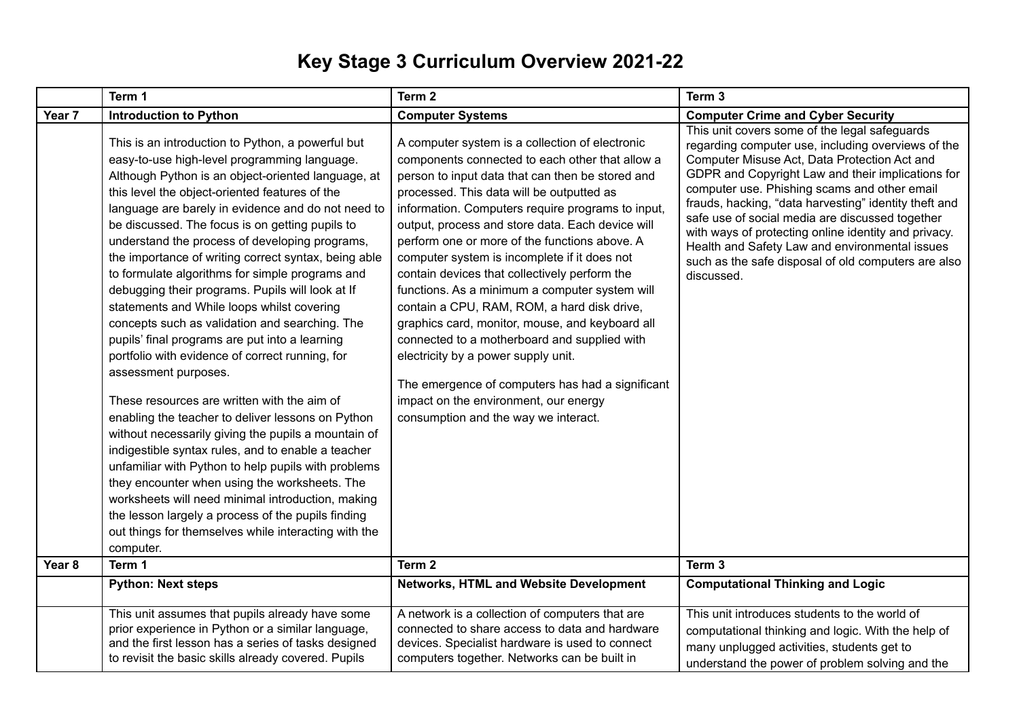## **Key Stage 3 Curriculum Overview 2021-22**

|                   | Term 1                                                                                                                                                                                                                                                                                                                                                                                                                                                                                                                                                                                                                                                                                                                                                                                                                                                                                                                                                                                                                                                                                                                                                                                                                                                                    | Term 2                                                                                                                                                                                                                                                                                                                                                                                                                                                                                                                                                                                                                                                                                                                                                                                                                                         | Term 3                                                                                                                                                                                                                                                                                                                                                                                                                                                                                                                                              |
|-------------------|---------------------------------------------------------------------------------------------------------------------------------------------------------------------------------------------------------------------------------------------------------------------------------------------------------------------------------------------------------------------------------------------------------------------------------------------------------------------------------------------------------------------------------------------------------------------------------------------------------------------------------------------------------------------------------------------------------------------------------------------------------------------------------------------------------------------------------------------------------------------------------------------------------------------------------------------------------------------------------------------------------------------------------------------------------------------------------------------------------------------------------------------------------------------------------------------------------------------------------------------------------------------------|------------------------------------------------------------------------------------------------------------------------------------------------------------------------------------------------------------------------------------------------------------------------------------------------------------------------------------------------------------------------------------------------------------------------------------------------------------------------------------------------------------------------------------------------------------------------------------------------------------------------------------------------------------------------------------------------------------------------------------------------------------------------------------------------------------------------------------------------|-----------------------------------------------------------------------------------------------------------------------------------------------------------------------------------------------------------------------------------------------------------------------------------------------------------------------------------------------------------------------------------------------------------------------------------------------------------------------------------------------------------------------------------------------------|
| Year <sub>7</sub> | <b>Introduction to Python</b>                                                                                                                                                                                                                                                                                                                                                                                                                                                                                                                                                                                                                                                                                                                                                                                                                                                                                                                                                                                                                                                                                                                                                                                                                                             | <b>Computer Systems</b>                                                                                                                                                                                                                                                                                                                                                                                                                                                                                                                                                                                                                                                                                                                                                                                                                        | <b>Computer Crime and Cyber Security</b>                                                                                                                                                                                                                                                                                                                                                                                                                                                                                                            |
|                   | This is an introduction to Python, a powerful but<br>easy-to-use high-level programming language.<br>Although Python is an object-oriented language, at<br>this level the object-oriented features of the<br>language are barely in evidence and do not need to<br>be discussed. The focus is on getting pupils to<br>understand the process of developing programs,<br>the importance of writing correct syntax, being able<br>to formulate algorithms for simple programs and<br>debugging their programs. Pupils will look at If<br>statements and While loops whilst covering<br>concepts such as validation and searching. The<br>pupils' final programs are put into a learning<br>portfolio with evidence of correct running, for<br>assessment purposes.<br>These resources are written with the aim of<br>enabling the teacher to deliver lessons on Python<br>without necessarily giving the pupils a mountain of<br>indigestible syntax rules, and to enable a teacher<br>unfamiliar with Python to help pupils with problems<br>they encounter when using the worksheets. The<br>worksheets will need minimal introduction, making<br>the lesson largely a process of the pupils finding<br>out things for themselves while interacting with the<br>computer. | A computer system is a collection of electronic<br>components connected to each other that allow a<br>person to input data that can then be stored and<br>processed. This data will be outputted as<br>information. Computers require programs to input,<br>output, process and store data. Each device will<br>perform one or more of the functions above. A<br>computer system is incomplete if it does not<br>contain devices that collectively perform the<br>functions. As a minimum a computer system will<br>contain a CPU, RAM, ROM, a hard disk drive,<br>graphics card, monitor, mouse, and keyboard all<br>connected to a motherboard and supplied with<br>electricity by a power supply unit.<br>The emergence of computers has had a significant<br>impact on the environment, our energy<br>consumption and the way we interact. | This unit covers some of the legal safeguards<br>regarding computer use, including overviews of the<br>Computer Misuse Act, Data Protection Act and<br>GDPR and Copyright Law and their implications for<br>computer use. Phishing scams and other email<br>frauds, hacking, "data harvesting" identity theft and<br>safe use of social media are discussed together<br>with ways of protecting online identity and privacy.<br>Health and Safety Law and environmental issues<br>such as the safe disposal of old computers are also<br>discussed. |
| Year <sub>8</sub> | Term 1                                                                                                                                                                                                                                                                                                                                                                                                                                                                                                                                                                                                                                                                                                                                                                                                                                                                                                                                                                                                                                                                                                                                                                                                                                                                    | Term <sub>2</sub>                                                                                                                                                                                                                                                                                                                                                                                                                                                                                                                                                                                                                                                                                                                                                                                                                              | Term 3                                                                                                                                                                                                                                                                                                                                                                                                                                                                                                                                              |
|                   | <b>Python: Next steps</b>                                                                                                                                                                                                                                                                                                                                                                                                                                                                                                                                                                                                                                                                                                                                                                                                                                                                                                                                                                                                                                                                                                                                                                                                                                                 | <b>Networks, HTML and Website Development</b>                                                                                                                                                                                                                                                                                                                                                                                                                                                                                                                                                                                                                                                                                                                                                                                                  | <b>Computational Thinking and Logic</b>                                                                                                                                                                                                                                                                                                                                                                                                                                                                                                             |
|                   | This unit assumes that pupils already have some<br>prior experience in Python or a similar language,<br>and the first lesson has a series of tasks designed<br>to revisit the basic skills already covered. Pupils                                                                                                                                                                                                                                                                                                                                                                                                                                                                                                                                                                                                                                                                                                                                                                                                                                                                                                                                                                                                                                                        | A network is a collection of computers that are<br>connected to share access to data and hardware<br>devices. Specialist hardware is used to connect<br>computers together. Networks can be built in                                                                                                                                                                                                                                                                                                                                                                                                                                                                                                                                                                                                                                           | This unit introduces students to the world of<br>computational thinking and logic. With the help of<br>many unplugged activities, students get to<br>understand the power of problem solving and the                                                                                                                                                                                                                                                                                                                                                |